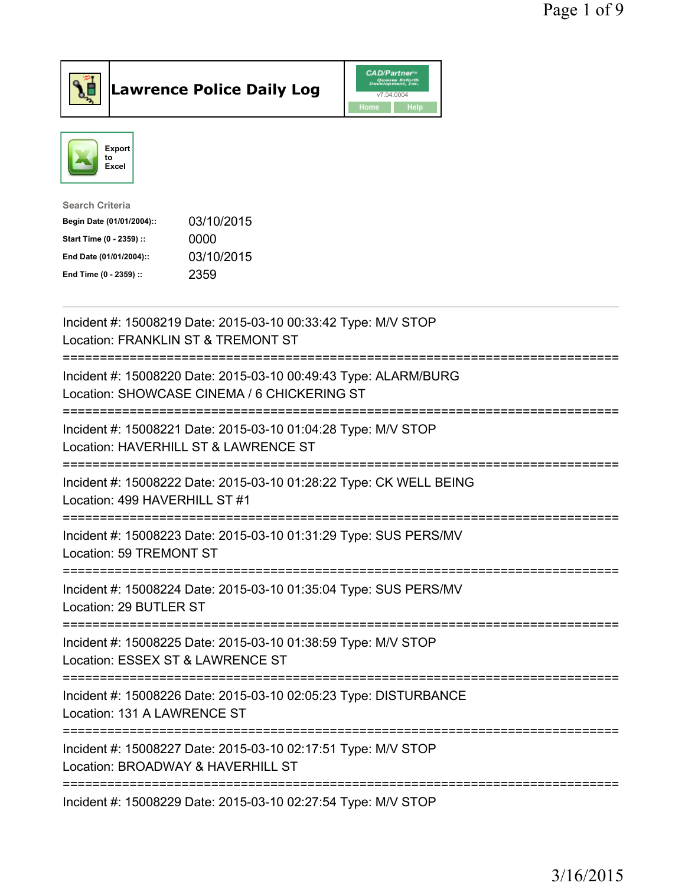

**Lawrence Police Daily Log** CAD/Partner



| <b>Search Criteria</b>    |            |
|---------------------------|------------|
| Begin Date (01/01/2004):: | 03/10/2015 |
| Start Time (0 - 2359) ::  | 0000       |
| End Date (01/01/2004)::   | 03/10/2015 |
| End Time (0 - 2359) ::    | 2359       |
|                           |            |

| Incident #: 15008219 Date: 2015-03-10 00:33:42 Type: M/V STOP<br>Location: FRANKLIN ST & TREMONT ST                            |
|--------------------------------------------------------------------------------------------------------------------------------|
| Incident #: 15008220 Date: 2015-03-10 00:49:43 Type: ALARM/BURG<br>Location: SHOWCASE CINEMA / 6 CHICKERING ST                 |
| Incident #: 15008221 Date: 2015-03-10 01:04:28 Type: M/V STOP<br>Location: HAVERHILL ST & LAWRENCE ST                          |
| Incident #: 15008222 Date: 2015-03-10 01:28:22 Type: CK WELL BEING<br>Location: 499 HAVERHILL ST #1<br>-----------             |
| Incident #: 15008223 Date: 2015-03-10 01:31:29 Type: SUS PERS/MV<br>Location: 59 TREMONT ST<br>=====================           |
| Incident #: 15008224 Date: 2015-03-10 01:35:04 Type: SUS PERS/MV<br>Location: 29 BUTLER ST                                     |
| Incident #: 15008225 Date: 2015-03-10 01:38:59 Type: M/V STOP<br>Location: ESSEX ST & LAWRENCE ST<br>========================= |
| Incident #: 15008226 Date: 2015-03-10 02:05:23 Type: DISTURBANCE<br>Location: 131 A LAWRENCE ST                                |
| Incident #: 15008227 Date: 2015-03-10 02:17:51 Type: M/V STOP<br>Location: BROADWAY & HAVERHILL ST                             |
| Incident #: 15008229 Date: 2015-03-10 02:27:54 Type: M/V STOP                                                                  |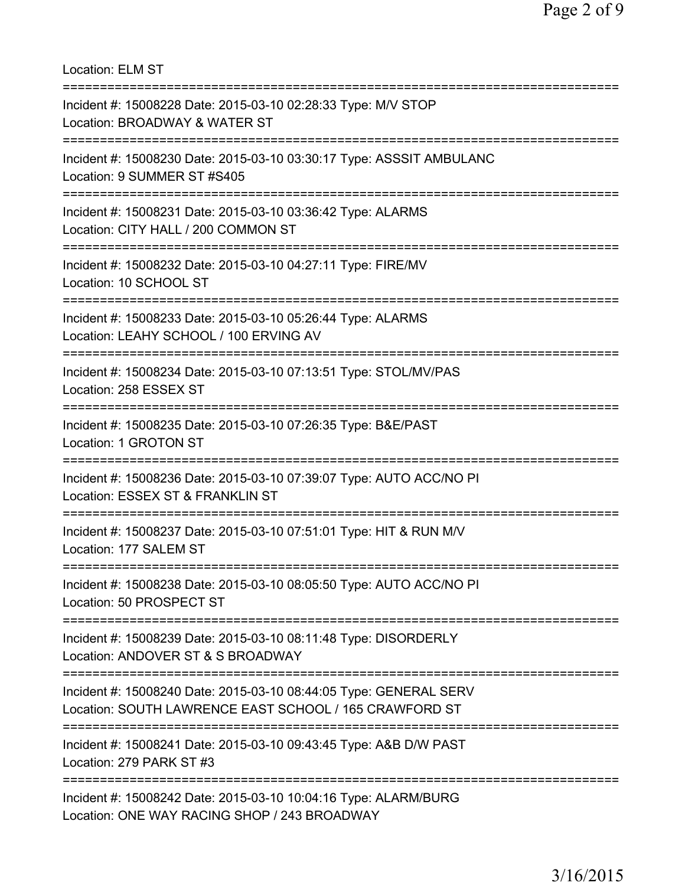Location: ELM ST =========================================================================== Incident #: 15008228 Date: 2015-03-10 02:28:33 Type: M/V STOP Location: BROADWAY & WATER ST =========================================================================== Incident #: 15008230 Date: 2015-03-10 03:30:17 Type: ASSSIT AMBULANC Location: 9 SUMMER ST #S405 =========================================================================== Incident #: 15008231 Date: 2015-03-10 03:36:42 Type: ALARMS Location: CITY HALL / 200 COMMON ST =========================================================================== Incident #: 15008232 Date: 2015-03-10 04:27:11 Type: FIRE/MV Location: 10 SCHOOL ST =========================================================================== Incident #: 15008233 Date: 2015-03-10 05:26:44 Type: ALARMS Location: LEAHY SCHOOL / 100 ERVING AV =========================================================================== Incident #: 15008234 Date: 2015-03-10 07:13:51 Type: STOL/MV/PAS Location: 258 ESSEX ST =========================================================================== Incident #: 15008235 Date: 2015-03-10 07:26:35 Type: B&E/PAST Location: 1 GROTON ST =========================================================================== Incident #: 15008236 Date: 2015-03-10 07:39:07 Type: AUTO ACC/NO PI Location: ESSEX ST & FRANKLIN ST =========================================================================== Incident #: 15008237 Date: 2015-03-10 07:51:01 Type: HIT & RUN M/V Location: 177 SALEM ST =========================================================================== Incident #: 15008238 Date: 2015-03-10 08:05:50 Type: AUTO ACC/NO PI Location: 50 PROSPECT ST =========================================================================== Incident #: 15008239 Date: 2015-03-10 08:11:48 Type: DISORDERLY Location: ANDOVER ST & S BROADWAY =========================================================================== Incident #: 15008240 Date: 2015-03-10 08:44:05 Type: GENERAL SERV Location: SOUTH LAWRENCE EAST SCHOOL / 165 CRAWFORD ST =========================================================================== Incident #: 15008241 Date: 2015-03-10 09:43:45 Type: A&B D/W PAST Location: 279 PARK ST #3 =========================================================================== Incident #: 15008242 Date: 2015-03-10 10:04:16 Type: ALARM/BURG Location: ONE WAY RACING SHOP / 243 BROADWAY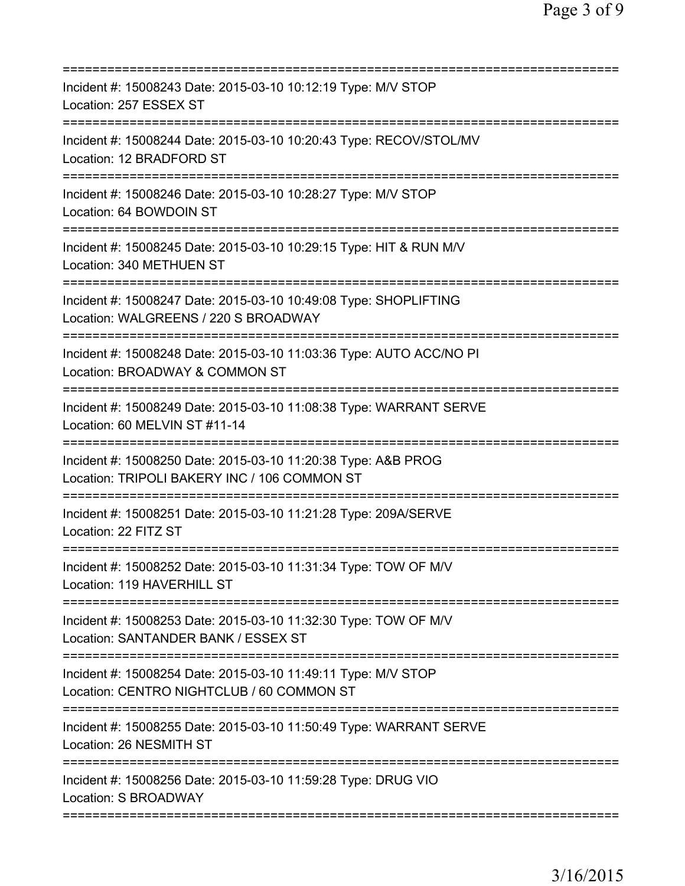| Incident #: 15008243 Date: 2015-03-10 10:12:19 Type: M/V STOP<br>Location: 257 ESSEX ST                                               |
|---------------------------------------------------------------------------------------------------------------------------------------|
| Incident #: 15008244 Date: 2015-03-10 10:20:43 Type: RECOV/STOL/MV<br>Location: 12 BRADFORD ST<br>============================        |
| Incident #: 15008246 Date: 2015-03-10 10:28:27 Type: M/V STOP<br>Location: 64 BOWDOIN ST                                              |
| Incident #: 15008245 Date: 2015-03-10 10:29:15 Type: HIT & RUN M/V<br>Location: 340 METHUEN ST                                        |
| Incident #: 15008247 Date: 2015-03-10 10:49:08 Type: SHOPLIFTING<br>Location: WALGREENS / 220 S BROADWAY<br>========================= |
| Incident #: 15008248 Date: 2015-03-10 11:03:36 Type: AUTO ACC/NO PI<br>Location: BROADWAY & COMMON ST<br>==========================   |
| Incident #: 15008249 Date: 2015-03-10 11:08:38 Type: WARRANT SERVE<br>Location: 60 MELVIN ST #11-14                                   |
| Incident #: 15008250 Date: 2015-03-10 11:20:38 Type: A&B PROG<br>Location: TRIPOLI BAKERY INC / 106 COMMON ST                         |
| Incident #: 15008251 Date: 2015-03-10 11:21:28 Type: 209A/SERVE<br>Location: 22 FITZ ST                                               |
| Incident #: 15008252 Date: 2015-03-10 11:31:34 Type: TOW OF M/V<br>Location: 119 HAVERHILL ST<br>==================================   |
| Incident #: 15008253 Date: 2015-03-10 11:32:30 Type: TOW OF M/V<br>Location: SANTANDER BANK / ESSEX ST                                |
| Incident #: 15008254 Date: 2015-03-10 11:49:11 Type: M/V STOP<br>Location: CENTRO NIGHTCLUB / 60 COMMON ST                            |
| Incident #: 15008255 Date: 2015-03-10 11:50:49 Type: WARRANT SERVE<br>Location: 26 NESMITH ST                                         |
| Incident #: 15008256 Date: 2015-03-10 11:59:28 Type: DRUG VIO<br>Location: S BROADWAY                                                 |
|                                                                                                                                       |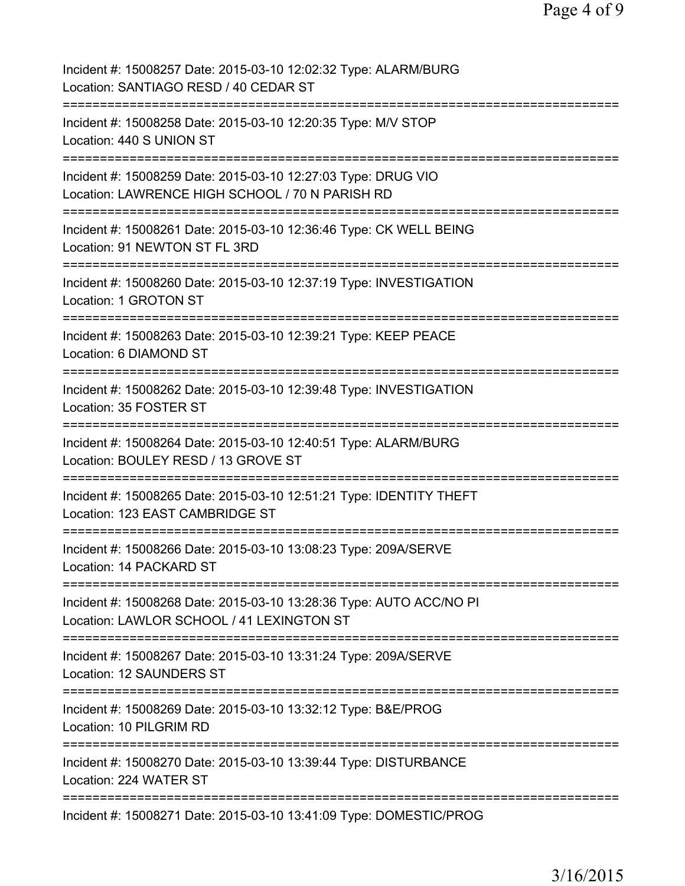| Incident #: 15008257 Date: 2015-03-10 12:02:32 Type: ALARM/BURG<br>Location: SANTIAGO RESD / 40 CEDAR ST                                      |
|-----------------------------------------------------------------------------------------------------------------------------------------------|
| Incident #: 15008258 Date: 2015-03-10 12:20:35 Type: M/V STOP<br>Location: 440 S UNION ST                                                     |
| Incident #: 15008259 Date: 2015-03-10 12:27:03 Type: DRUG VIO<br>Location: LAWRENCE HIGH SCHOOL / 70 N PARISH RD                              |
| Incident #: 15008261 Date: 2015-03-10 12:36:46 Type: CK WELL BEING<br>Location: 91 NEWTON ST FL 3RD<br>====================================== |
| Incident #: 15008260 Date: 2015-03-10 12:37:19 Type: INVESTIGATION<br>Location: 1 GROTON ST<br>------------------------------                 |
| Incident #: 15008263 Date: 2015-03-10 12:39:21 Type: KEEP PEACE<br>Location: 6 DIAMOND ST                                                     |
| Incident #: 15008262 Date: 2015-03-10 12:39:48 Type: INVESTIGATION<br>Location: 35 FOSTER ST                                                  |
| Incident #: 15008264 Date: 2015-03-10 12:40:51 Type: ALARM/BURG<br>Location: BOULEY RESD / 13 GROVE ST                                        |
| Incident #: 15008265 Date: 2015-03-10 12:51:21 Type: IDENTITY THEFT<br>Location: 123 EAST CAMBRIDGE ST                                        |
| Incident #: 15008266 Date: 2015-03-10 13:08:23 Type: 209A/SERVE<br>Location: 14 PACKARD ST                                                    |
| Incident #: 15008268 Date: 2015-03-10 13:28:36 Type: AUTO ACC/NO PI<br>Location: LAWLOR SCHOOL / 41 LEXINGTON ST                              |
| Incident #: 15008267 Date: 2015-03-10 13:31:24 Type: 209A/SERVE<br>Location: 12 SAUNDERS ST                                                   |
| =======================<br>Incident #: 15008269 Date: 2015-03-10 13:32:12 Type: B&E/PROG<br>Location: 10 PILGRIM RD                           |
| =========================<br>Incident #: 15008270 Date: 2015-03-10 13:39:44 Type: DISTURBANCE<br>Location: 224 WATER ST                       |
| Incident #: 15008271 Date: 2015-03-10 13:41:09 Type: DOMESTIC/PROG                                                                            |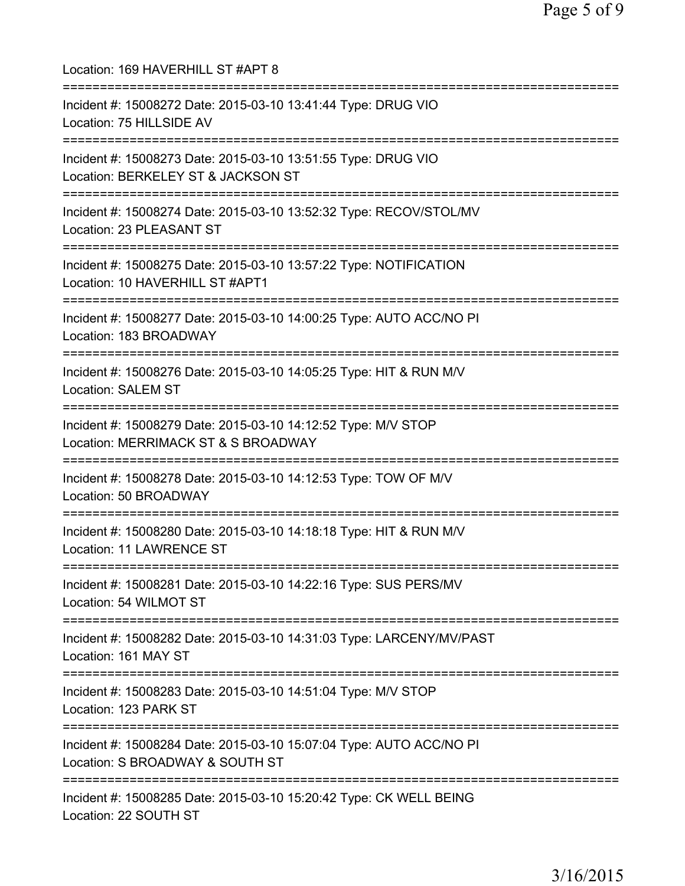| Location: 169 HAVERHILL ST #APT 8                                                                                                    |
|--------------------------------------------------------------------------------------------------------------------------------------|
| Incident #: 15008272 Date: 2015-03-10 13:41:44 Type: DRUG VIO<br>Location: 75 HILLSIDE AV                                            |
| Incident #: 15008273 Date: 2015-03-10 13:51:55 Type: DRUG VIO<br>Location: BERKELEY ST & JACKSON ST                                  |
| Incident #: 15008274 Date: 2015-03-10 13:52:32 Type: RECOV/STOL/MV<br>Location: 23 PLEASANT ST<br>;===============================   |
| Incident #: 15008275 Date: 2015-03-10 13:57:22 Type: NOTIFICATION<br>Location: 10 HAVERHILL ST #APT1<br>============================ |
| Incident #: 15008277 Date: 2015-03-10 14:00:25 Type: AUTO ACC/NO PI<br>Location: 183 BROADWAY                                        |
| :================================<br>Incident #: 15008276 Date: 2015-03-10 14:05:25 Type: HIT & RUN M/V<br><b>Location: SALEM ST</b> |
| Incident #: 15008279 Date: 2015-03-10 14:12:52 Type: M/V STOP<br>Location: MERRIMACK ST & S BROADWAY                                 |
| Incident #: 15008278 Date: 2015-03-10 14:12:53 Type: TOW OF M/V<br>Location: 50 BROADWAY                                             |
| Incident #: 15008280 Date: 2015-03-10 14:18:18 Type: HIT & RUN M/V<br><b>Location: 11 LAWRENCE ST</b>                                |
| Incident #: 15008281 Date: 2015-03-10 14:22:16 Type: SUS PERS/MV<br>Location: 54 WILMOT ST                                           |
| Incident #: 15008282 Date: 2015-03-10 14:31:03 Type: LARCENY/MV/PAST<br>Location: 161 MAY ST                                         |
| Incident #: 15008283 Date: 2015-03-10 14:51:04 Type: M/V STOP<br>Location: 123 PARK ST                                               |
| Incident #: 15008284 Date: 2015-03-10 15:07:04 Type: AUTO ACC/NO PI<br>Location: S BROADWAY & SOUTH ST                               |
| Incident #: 15008285 Date: 2015-03-10 15:20:42 Type: CK WELL BEING<br>Location: 22 SOUTH ST                                          |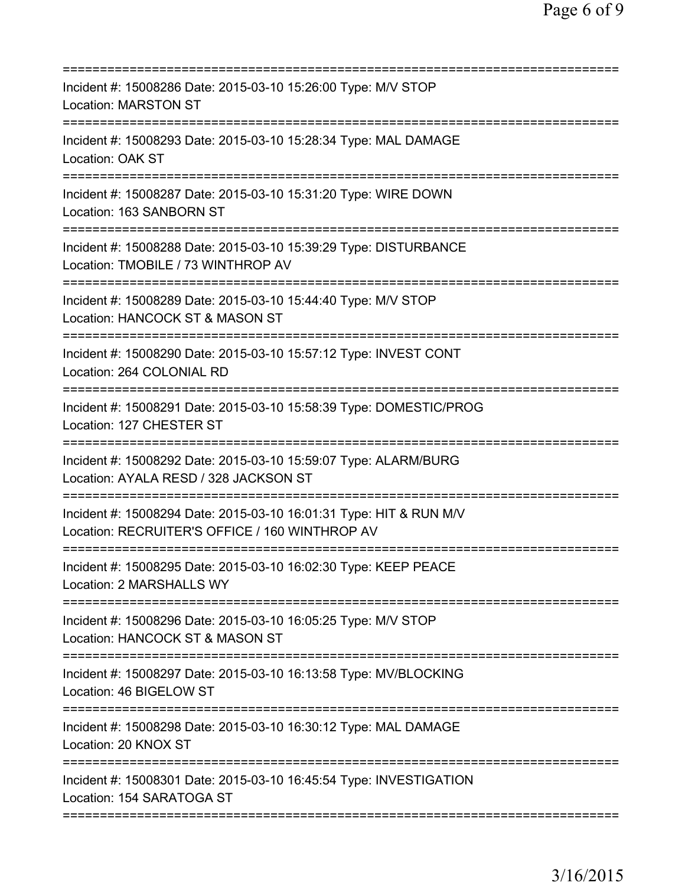| Incident #: 15008286 Date: 2015-03-10 15:26:00 Type: M/V STOP<br><b>Location: MARSTON ST</b><br>================                                     |
|------------------------------------------------------------------------------------------------------------------------------------------------------|
| Incident #: 15008293 Date: 2015-03-10 15:28:34 Type: MAL DAMAGE<br>Location: OAK ST                                                                  |
| Incident #: 15008287 Date: 2015-03-10 15:31:20 Type: WIRE DOWN<br>Location: 163 SANBORN ST                                                           |
| Incident #: 15008288 Date: 2015-03-10 15:39:29 Type: DISTURBANCE<br>Location: TMOBILE / 73 WINTHROP AV                                               |
| Incident #: 15008289 Date: 2015-03-10 15:44:40 Type: M/V STOP<br>Location: HANCOCK ST & MASON ST                                                     |
| ===========================<br>Incident #: 15008290 Date: 2015-03-10 15:57:12 Type: INVEST CONT<br>Location: 264 COLONIAL RD                         |
| Incident #: 15008291 Date: 2015-03-10 15:58:39 Type: DOMESTIC/PROG<br>Location: 127 CHESTER ST                                                       |
| Incident #: 15008292 Date: 2015-03-10 15:59:07 Type: ALARM/BURG<br>Location: AYALA RESD / 328 JACKSON ST                                             |
| ============================<br>Incident #: 15008294 Date: 2015-03-10 16:01:31 Type: HIT & RUN M/V<br>Location: RECRUITER'S OFFICE / 160 WINTHROP AV |
| Incident #: 15008295 Date: 2015-03-10 16:02:30 Type: KEEP PEACE<br>Location: 2 MARSHALLS WY                                                          |
| Incident #: 15008296 Date: 2015-03-10 16:05:25 Type: M/V STOP<br>Location: HANCOCK ST & MASON ST                                                     |
| Incident #: 15008297 Date: 2015-03-10 16:13:58 Type: MV/BLOCKING<br>Location: 46 BIGELOW ST                                                          |
| Incident #: 15008298 Date: 2015-03-10 16:30:12 Type: MAL DAMAGE<br>Location: 20 KNOX ST                                                              |
| Incident #: 15008301 Date: 2015-03-10 16:45:54 Type: INVESTIGATION<br>Location: 154 SARATOGA ST                                                      |
|                                                                                                                                                      |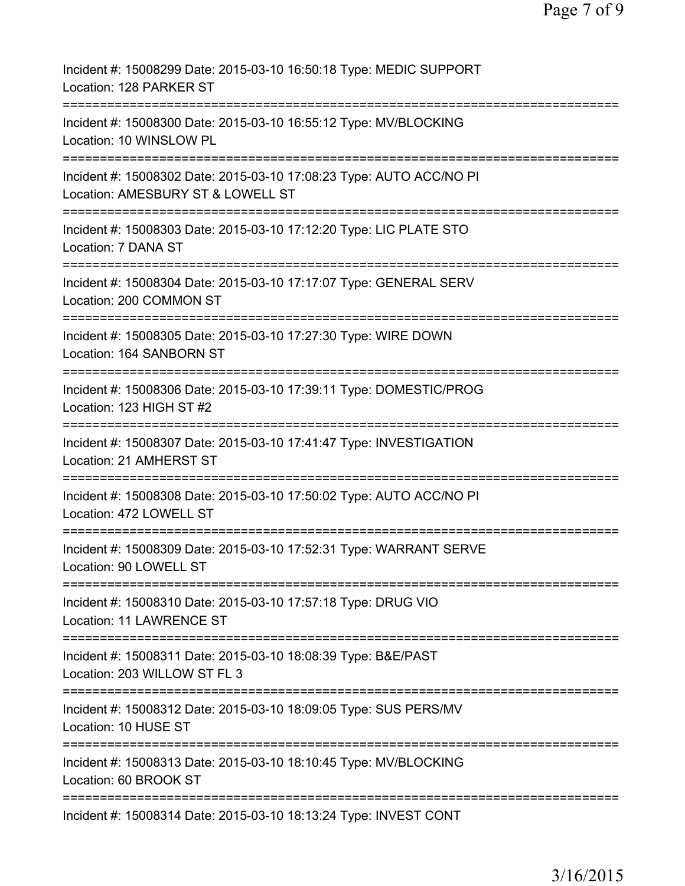| Incident #: 15008299 Date: 2015-03-10 16:50:18 Type: MEDIC SUPPORT<br>Location: 128 PARKER ST                 |
|---------------------------------------------------------------------------------------------------------------|
| Incident #: 15008300 Date: 2015-03-10 16:55:12 Type: MV/BLOCKING<br>Location: 10 WINSLOW PL                   |
| Incident #: 15008302 Date: 2015-03-10 17:08:23 Type: AUTO ACC/NO PI<br>Location: AMESBURY ST & LOWELL ST      |
| Incident #: 15008303 Date: 2015-03-10 17:12:20 Type: LIC PLATE STO<br>Location: 7 DANA ST                     |
| Incident #: 15008304 Date: 2015-03-10 17:17:07 Type: GENERAL SERV<br>Location: 200 COMMON ST                  |
| Incident #: 15008305 Date: 2015-03-10 17:27:30 Type: WIRE DOWN<br>Location: 164 SANBORN ST                    |
| Incident #: 15008306 Date: 2015-03-10 17:39:11 Type: DOMESTIC/PROG<br>Location: 123 HIGH ST #2                |
| Incident #: 15008307 Date: 2015-03-10 17:41:47 Type: INVESTIGATION<br>Location: 21 AMHERST ST                 |
| Incident #: 15008308 Date: 2015-03-10 17:50:02 Type: AUTO ACC/NO PI<br>Location: 472 LOWELL ST                |
| Incident #: 15008309 Date: 2015-03-10 17:52:31 Type: WARRANT SERVE<br>Location: 90 LOWELL ST                  |
| :===============<br>Incident #: 15008310 Date: 2015-03-10 17:57:18 Type: DRUG VIO<br>Location: 11 LAWRENCE ST |
| Incident #: 15008311 Date: 2015-03-10 18:08:39 Type: B&E/PAST<br>Location: 203 WILLOW ST FL 3                 |
| Incident #: 15008312 Date: 2015-03-10 18:09:05 Type: SUS PERS/MV<br>Location: 10 HUSE ST                      |
| Incident #: 15008313 Date: 2015-03-10 18:10:45 Type: MV/BLOCKING<br>Location: 60 BROOK ST                     |
| ======================================<br>Incident #: 15008314 Date: 2015-03-10 18:13:24 Type: INVEST CONT    |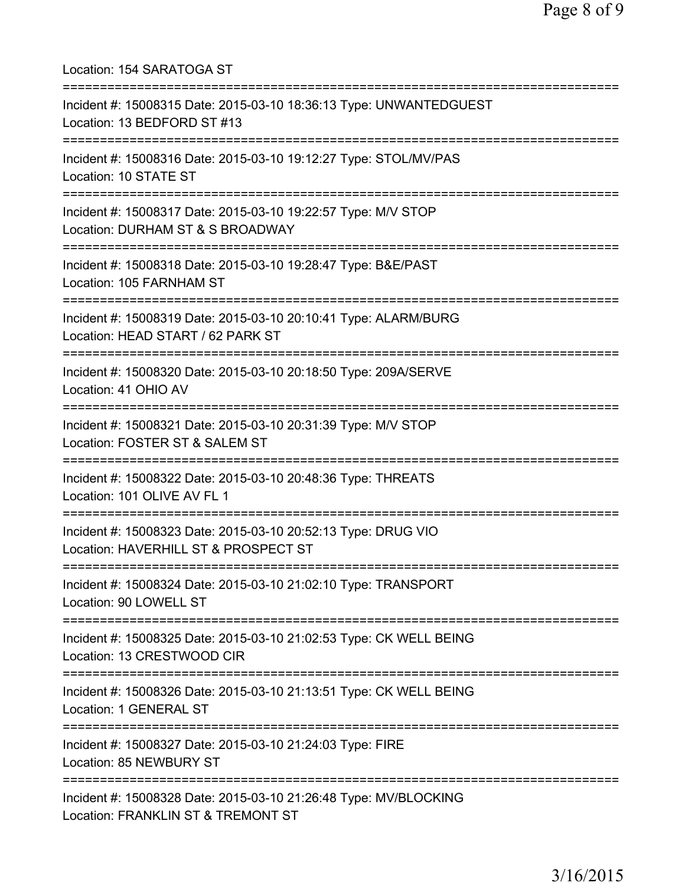Location: 154 SARATOGA ST =========================================================================== Incident #: 15008315 Date: 2015-03-10 18:36:13 Type: UNWANTEDGUEST Location: 13 BEDFORD ST #13 =========================================================================== Incident #: 15008316 Date: 2015-03-10 19:12:27 Type: STOL/MV/PAS Location: 10 STATE ST =========================================================================== Incident #: 15008317 Date: 2015-03-10 19:22:57 Type: M/V STOP Location: DURHAM ST & S BROADWAY =========================================================================== Incident #: 15008318 Date: 2015-03-10 19:28:47 Type: B&E/PAST Location: 105 FARNHAM ST =========================================================================== Incident #: 15008319 Date: 2015-03-10 20:10:41 Type: ALARM/BURG Location: HEAD START / 62 PARK ST =========================================================================== Incident #: 15008320 Date: 2015-03-10 20:18:50 Type: 209A/SERVE Location: 41 OHIO AV =========================================================================== Incident #: 15008321 Date: 2015-03-10 20:31:39 Type: M/V STOP Location: FOSTER ST & SALEM ST =========================================================================== Incident #: 15008322 Date: 2015-03-10 20:48:36 Type: THREATS Location: 101 OLIVE AV FL 1 =========================================================================== Incident #: 15008323 Date: 2015-03-10 20:52:13 Type: DRUG VIO Location: HAVERHILL ST & PROSPECT ST =========================================================================== Incident #: 15008324 Date: 2015-03-10 21:02:10 Type: TRANSPORT Location: 90 LOWELL ST =========================================================================== Incident #: 15008325 Date: 2015-03-10 21:02:53 Type: CK WELL BEING Location: 13 CRESTWOOD CIR =========================================================================== Incident #: 15008326 Date: 2015-03-10 21:13:51 Type: CK WELL BEING Location: 1 GENERAL ST =========================================================================== Incident #: 15008327 Date: 2015-03-10 21:24:03 Type: FIRE Location: 85 NEWBURY ST =========================================================================== Incident #: 15008328 Date: 2015-03-10 21:26:48 Type: MV/BLOCKING Location: FRANKLIN ST & TREMONT ST